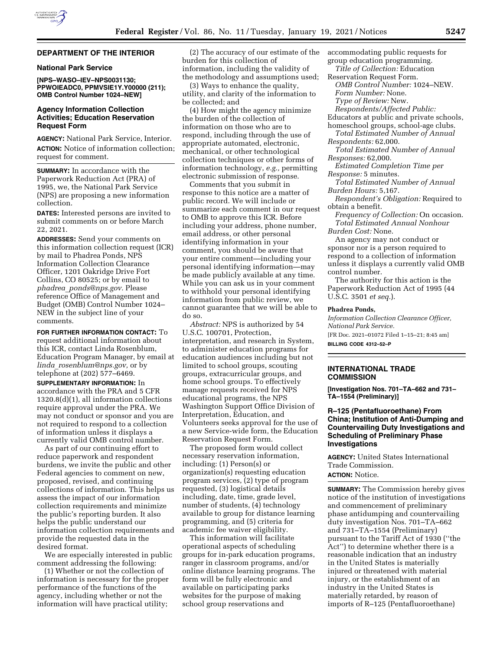

#### **DEPARTMENT OF THE INTERIOR**

## **National Park Service**

## **[NPS–WASO–IEV–NPS0031130; PPWOIEADC0, PPMVSIE1Y.Y00000 (211); OMB Control Number 1024–NEW]**

# **Agency Information Collection Activities; Education Reservation Request Form**

**AGENCY:** National Park Service, Interior. **ACTION:** Notice of information collection; request for comment.

**SUMMARY:** In accordance with the Paperwork Reduction Act (PRA) of 1995, we, the National Park Service (NPS) are proposing a new information collection.

**DATES:** Interested persons are invited to submit comments on or before March 22, 2021.

**ADDRESSES:** Send your comments on this information collection request (ICR) by mail to Phadrea Ponds, NPS Information Collection Clearance Officer, 1201 Oakridge Drive Fort Collins, CO 80525; or by email to *phadrea*\_*[ponds@nps.gov.](mailto:phadrea_ponds@nps.gov)* Please reference Office of Management and Budget (OMB) Control Number 1024– NEW in the subject line of your comments.

**FOR FURTHER INFORMATION CONTACT:** To request additional information about this ICR, contact Linda Rosenblum, Education Program Manager, by email at *linda*\_*[rosenblum@nps.gov,](mailto:linda_rosenblum@nps.gov)* or by telephone at (202) 577–6469.

**SUPPLEMENTARY INFORMATION:** In accordance with the PRA and 5 CFR 1320.8(d)(1), all information collections require approval under the PRA. We may not conduct or sponsor and you are not required to respond to a collection of information unless it displays a currently valid OMB control number.

As part of our continuing effort to reduce paperwork and respondent burdens, we invite the public and other Federal agencies to comment on new, proposed, revised, and continuing collections of information. This helps us assess the impact of our information collection requirements and minimize the public's reporting burden. It also helps the public understand our information collection requirements and provide the requested data in the desired format.

We are especially interested in public comment addressing the following:

(1) Whether or not the collection of information is necessary for the proper performance of the functions of the agency, including whether or not the information will have practical utility;

(2) The accuracy of our estimate of the burden for this collection of information, including the validity of the methodology and assumptions used;

(3) Ways to enhance the quality, utility, and clarity of the information to be collected; and

(4) How might the agency minimize the burden of the collection of information on those who are to respond, including through the use of appropriate automated, electronic, mechanical, or other technological collection techniques or other forms of information technology, *e.g.,* permitting electronic submission of response.

Comments that you submit in response to this notice are a matter of public record. We will include or summarize each comment in our request to OMB to approve this ICR. Before including your address, phone number, email address, or other personal identifying information in your comment, you should be aware that your entire comment—including your personal identifying information—may be made publicly available at any time. While you can ask us in your comment to withhold your personal identifying information from public review, we cannot guarantee that we will be able to do so.

*Abstract:* NPS is authorized by 54 U.S.C. 100701, Protection, interpretation, and research in System, to administer education programs for education audiences including but not limited to school groups, scouting groups, extracurricular groups, and home school groups. To effectively manage requests received for NPS educational programs, the NPS Washington Support Office Division of Interpretation, Education, and Volunteers seeks approval for the use of a new Service-wide form, the Education Reservation Request Form.

The proposed form would collect necessary reservation information, including: (1) Person(s) or organization(s) requesting education program services, (2) type of program requested, (3) logistical details including, date, time, grade level, number of students, (4) technology available to group for distance learning programming, and (5) criteria for academic fee waiver eligibility.

This information will facilitate operational aspects of scheduling groups for in-park education programs, ranger in classroom programs, and/or online distance learning programs. The form will be fully electronic and available on participating parks websites for the purpose of making school group reservations and

accommodating public requests for group education programming.

*Title of Collection:* Education Reservation Request Form.

*OMB Control Number:* 1024–NEW. *Form Number:* None.

*Type of Review:* New.

*Respondents/Affected Public:* 

- Educators at public and private schools,
- homeschool groups, school-age clubs.

*Total Estimated Number of Annual Respondents:* 62,000.

*Total Estimated Number of Annual Responses:* 62,000.

*Estimated Completion Time per Response:* 5 minutes.

*Total Estimated Number of Annual Burden Hours:* 5,167.

*Respondent's Obligation:* Required to obtain a benefit.

*Frequency of Collection:* On occasion. *Total Estimated Annual Nonhour Burden Cost:* None.

An agency may not conduct or sponsor nor is a person required to respond to a collection of information unless it displays a currently valid OMB control number.

The authority for this action is the Paperwork Reduction Act of 1995 (44 U.S.C. 3501 *et seq.*).

#### **Phadrea Ponds,**

*Information Collection Clearance Officer, National Park Service.* 

[FR Doc. 2021–01072 Filed 1–15–21; 8:45 am] **BILLING CODE 4312–52–P** 

## **INTERNATIONAL TRADE COMMISSION**

**[Investigation Nos. 701–TA–662 and 731– TA–1554 (Preliminary)]** 

# **R–125 (Pentafluoroethane) From China; Institution of Anti-Dumping and Countervailing Duty Investigations and Scheduling of Preliminary Phase Investigations**

**AGENCY:** United States International Trade Commission.

# **ACTION:** Notice.

**SUMMARY:** The Commission hereby gives notice of the institution of investigations and commencement of preliminary phase antidumping and countervailing duty investigation Nos. 701–TA–662 and 731–TA–1554 (Preliminary) pursuant to the Tariff Act of 1930 (''the Act'') to determine whether there is a reasonable indication that an industry in the United States is materially injured or threatened with material injury, or the establishment of an industry in the United States is materially retarded, by reason of imports of R–125 (Pentafluoroethane)